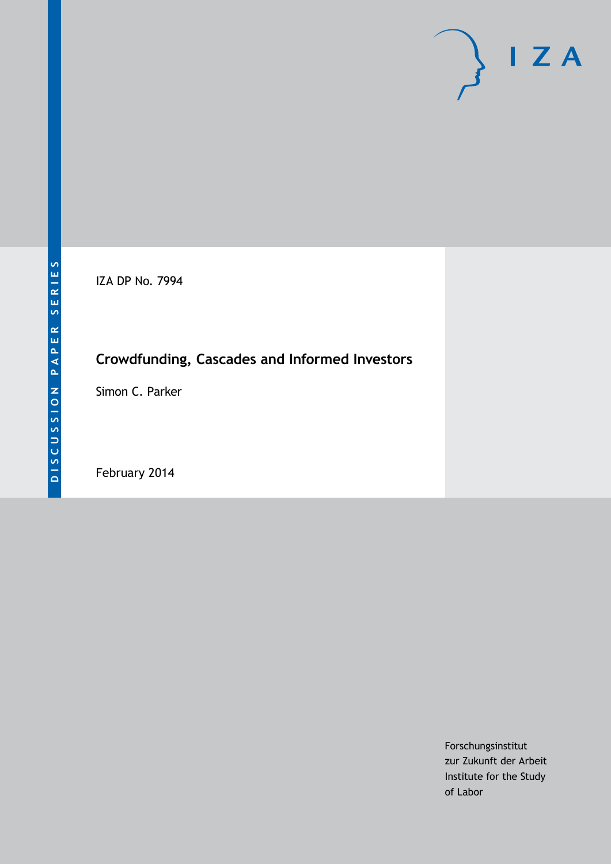IZA DP No. 7994

## **Crowdfunding, Cascades and Informed Investors**

Simon C. Parker

February 2014

Forschungsinstitut zur Zukunft der Arbeit Institute for the Study of Labor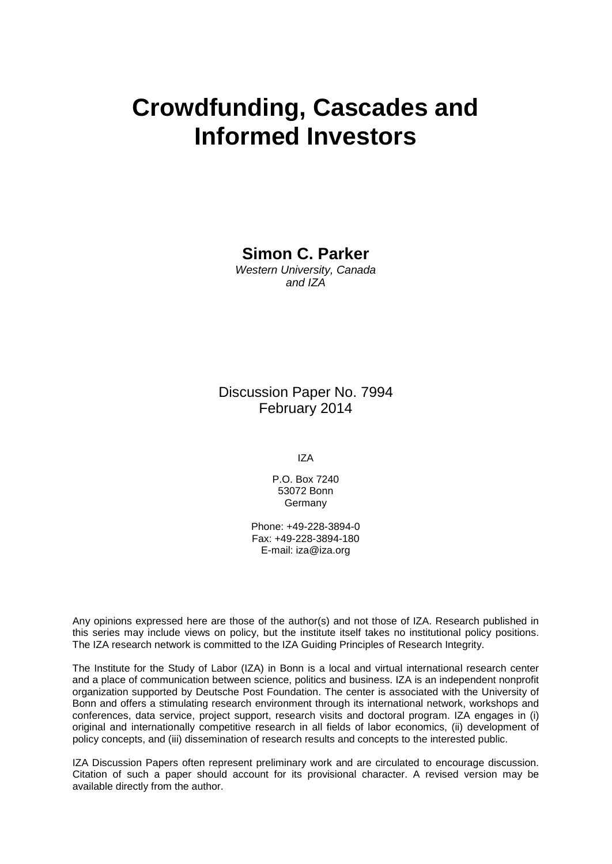# **Crowdfunding, Cascades and Informed Investors**

### **Simon C. Parker**

*Western University, Canada and IZA*

Discussion Paper No. 7994 February 2014

IZA

P.O. Box 7240 53072 Bonn Germany

Phone: +49-228-3894-0 Fax: +49-228-3894-180 E-mail: [iza@iza.org](mailto:iza@iza.org)

Any opinions expressed here are those of the author(s) and not those of IZA. Research published in this series may include views on policy, but the institute itself takes no institutional policy positions. The IZA research network is committed to the IZA Guiding Principles of Research Integrity.

The Institute for the Study of Labor (IZA) in Bonn is a local and virtual international research center and a place of communication between science, politics and business. IZA is an independent nonprofit organization supported by Deutsche Post Foundation. The center is associated with the University of Bonn and offers a stimulating research environment through its international network, workshops and conferences, data service, project support, research visits and doctoral program. IZA engages in (i) original and internationally competitive research in all fields of labor economics, (ii) development of policy concepts, and (iii) dissemination of research results and concepts to the interested public.

IZA Discussion Papers often represent preliminary work and are circulated to encourage discussion. Citation of such a paper should account for its provisional character. A revised version may be available directly from the author.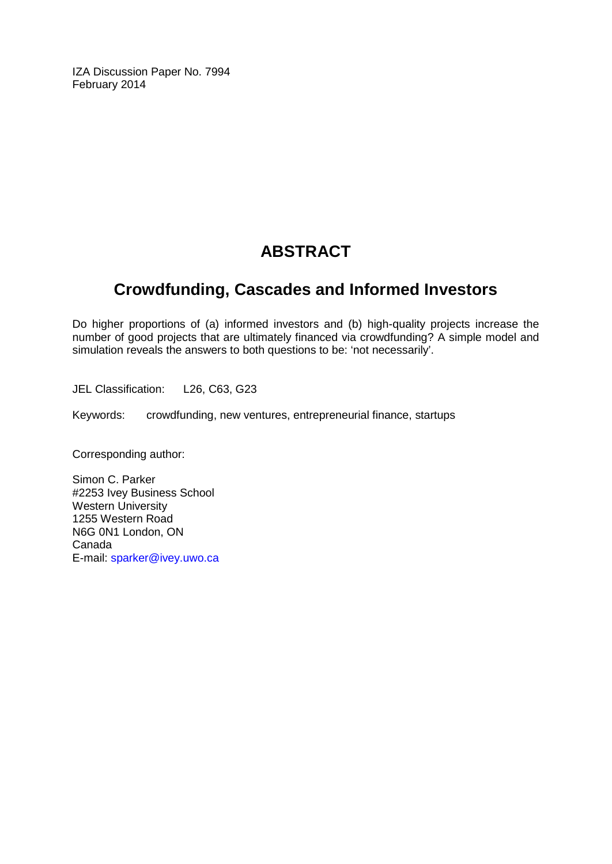IZA Discussion Paper No. 7994 February 2014

### **ABSTRACT**

### **Crowdfunding, Cascades and Informed Investors**

Do higher proportions of (a) informed investors and (b) high-quality projects increase the number of good projects that are ultimately financed via crowdfunding? A simple model and simulation reveals the answers to both questions to be: 'not necessarily'.

JEL Classification: L26, C63, G23

Keywords: crowdfunding, new ventures, entrepreneurial finance, startups

Corresponding author:

Simon C. Parker #2253 Ivey Business School Western University 1255 Western Road N6G 0N1 London, ON Canada E-mail: [sparker@ivey.uwo.ca](mailto:sparker@ivey.uwo.ca)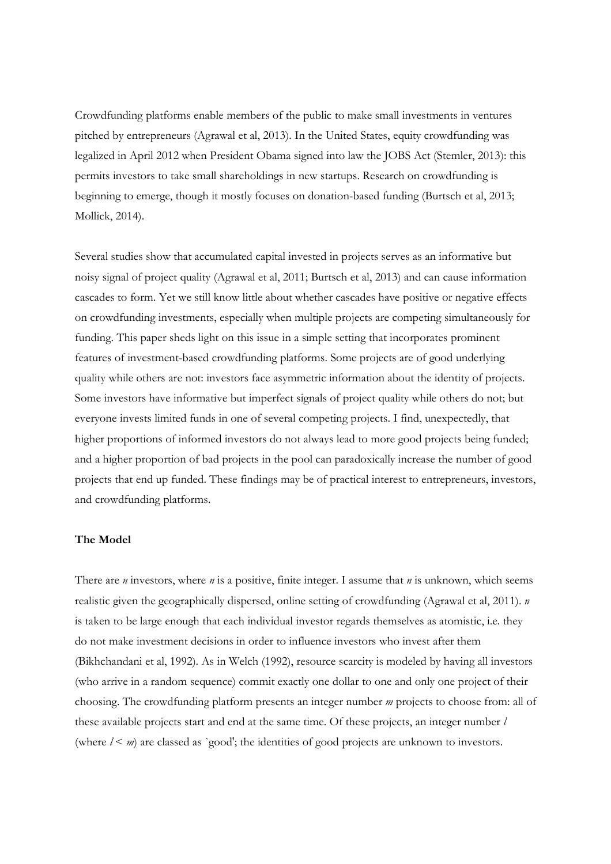Crowdfunding platforms enable members of the public to make small investments in ventures pitched by entrepreneurs (Agrawal et al, 2013). In the United States, equity crowdfunding was legalized in April 2012 when President Obama signed into law the JOBS Act (Stemler, 2013): this permits investors to take small shareholdings in new startups. Research on crowdfunding is beginning to emerge, though it mostly focuses on donation-based funding (Burtsch et al, 2013; Mollick, 2014).

Several studies show that accumulated capital invested in projects serves as an informative but noisy signal of project quality (Agrawal et al, 2011; Burtsch et al, 2013) and can cause information cascades to form. Yet we still know little about whether cascades have positive or negative effects on crowdfunding investments, especially when multiple projects are competing simultaneously for funding. This paper sheds light on this issue in a simple setting that incorporates prominent features of investment-based crowdfunding platforms. Some projects are of good underlying quality while others are not: investors face asymmetric information about the identity of projects. Some investors have informative but imperfect signals of project quality while others do not; but everyone invests limited funds in one of several competing projects. I find, unexpectedly, that higher proportions of informed investors do not always lead to more good projects being funded; and a higher proportion of bad projects in the pool can paradoxically increase the number of good projects that end up funded. These findings may be of practical interest to entrepreneurs, investors, and crowdfunding platforms.

#### **The Model**

There are *n* investors, where *n* is a positive, finite integer. I assume that *n* is unknown, which seems realistic given the geographically dispersed, online setting of crowdfunding (Agrawal et al, 2011). *n*  is taken to be large enough that each individual investor regards themselves as atomistic, i.e. they do not make investment decisions in order to influence investors who invest after them (Bikhchandani et al, 1992). As in Welch (1992), resource scarcity is modeled by having all investors (who arrive in a random sequence) commit exactly one dollar to one and only one project of their choosing. The crowdfunding platform presents an integer number *m* projects to choose from: all of these available projects start and end at the same time. Of these projects, an integer number *l*  (where  $l < m$ ) are classed as `good'; the identities of good projects are unknown to investors.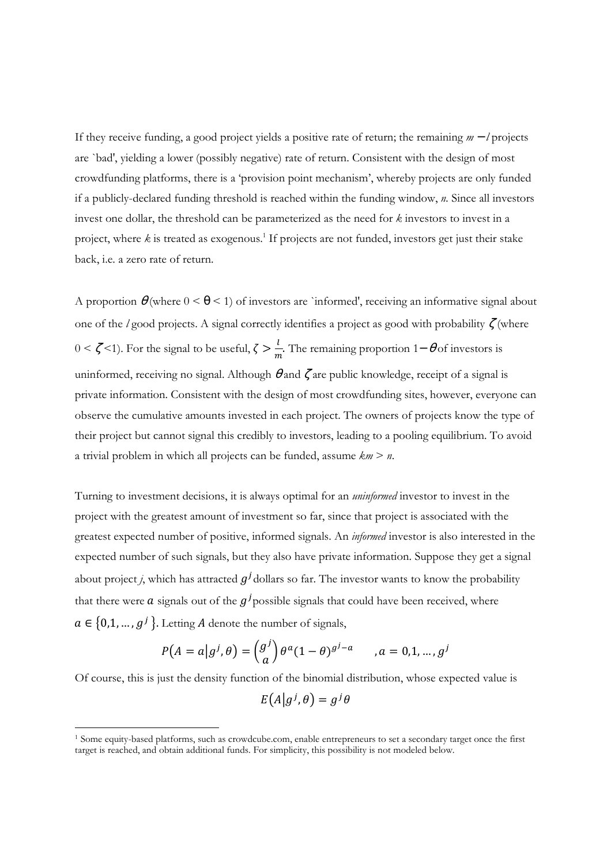If they receive funding, a good project yields a positive rate of return; the remaining *m* − *l* projects are `bad', yielding a lower (possibly negative) rate of return. Consistent with the design of most crowdfunding platforms, there is a 'provision point mechanism', whereby projects are only funded if a publicly-declared funding threshold is reached within the funding window, *n.* Since all investors invest one dollar, the threshold can be parameterized as the need for *k* investors to invest in a project, where *k* is treated as exogenous.<sup>1</sup> If projects are not funded, investors get just their stake back, i.e. a zero rate of return.

A proportion  $\theta$  (where  $0 \le \theta \le 1$ ) of investors are `informed', receiving an informative signal about one of the *l* good projects. A signal correctly identifies a project as good with probability ζ (where  $0 < \zeta$  < 1). For the signal to be useful,  $\zeta > \frac{l}{m}$ . The remaining proportion 1− θ of investors is uninformed, receiving no signal. Although  $\theta$  and  $\zeta$  are public knowledge, receipt of a signal is private information. Consistent with the design of most crowdfunding sites, however, everyone can observe the cumulative amounts invested in each project. The owners of projects know the type of their project but cannot signal this credibly to investors, leading to a pooling equilibrium. To avoid a trivial problem in which all projects can be funded, assume *km* > *n*.

Turning to investment decisions, it is always optimal for an *uninformed* investor to invest in the project with the greatest amount of investment so far, since that project is associated with the greatest expected number of positive, informed signals. An *informed* investor is also interested in the expected number of such signals, but they also have private information. Suppose they get a signal about project *j*, which has attracted  $g^j$  dollars so far. The investor wants to know the probability that there were  $\alpha$  signals out of the  $g^j$  possible signals that could have been received, where  $a \in \{0,1,\ldots,g^j\}$ . Letting A denote the number of signals,

$$
P(A = a|gj, \theta) = {gj \choose a} \theta^a (1 - \theta)^{gj - a} \qquad a = 0, 1, ..., gj
$$

Of course, this is just the density function of the binomial distribution, whose expected value is  $E(A|g^j, \theta) = g^j\theta$ 

 $\overline{a}$ 

<sup>1</sup> Some equity-based platforms, such as crowdcube.com, enable entrepreneurs to set a secondary target once the first target is reached, and obtain additional funds. For simplicity, this possibility is not modeled below.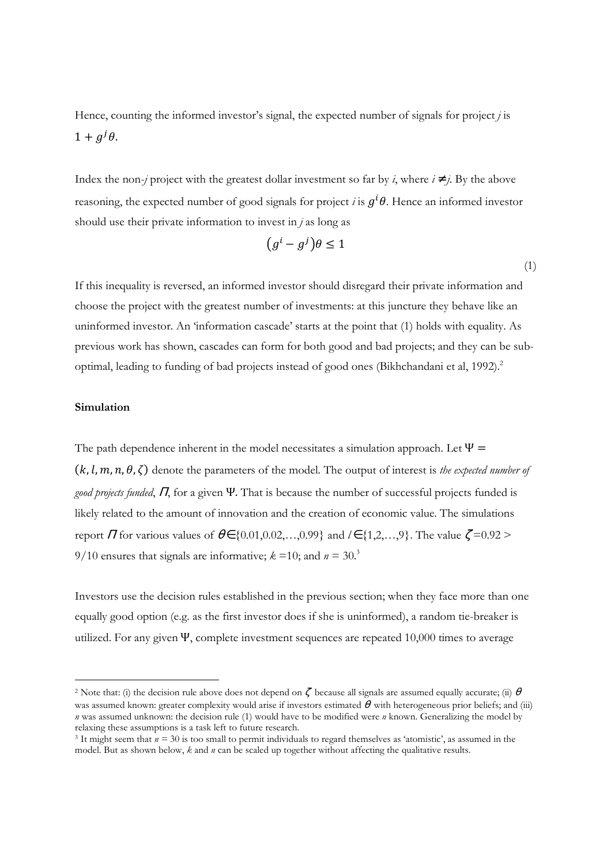Hence, counting the informed investor's signal, the expected number of signals for project *j* is  $1 + g^{j}\theta$ .

Index the non-*j* project with the greatest dollar investment so far by *i*, where  $i \neq j$ . By the above reasoning, the expected number of good signals for project *i* is  $g^i\theta$ . Hence an informed investor should use their private information to invest in *j* as long as

$$
(g^i - g^j)\theta \le 1
$$

(1)

If this inequality is reversed, an informed investor should disregard their private information and choose the project with the greatest number of investments: at this juncture they behave like an uninformed investor. An 'information cascade' starts at the point that (1) holds with equality. As previous work has shown, cascades can form for both good and bad projects; and they can be suboptimal, leading to funding of bad projects instead of good ones (Bikhchandani et al, 1992).<sup>2</sup>

#### **Simulation**

 $\overline{a}$ 

The path dependence inherent in the model necessitates a simulation approach. Let  $\Psi$  =  $(k, l, m, n, \theta, \zeta)$  denote the parameters of the model. The output of interest is *the expected number of good projects funded*, Π, for a given Ψ. That is because the number of successful projects funded is likely related to the amount of innovation and the creation of economic value. The simulations report  $\Pi$  for various values of  $\theta \in \{0.01, 0.02, \ldots, 0.99\}$  and  $l \in \{1, 2, \ldots, 9\}$ . The value  $\zeta = 0.92$  > 9/10 ensures that signals are informative;  $k = 10$ ; and  $n = 30$ .<sup>3</sup>

Investors use the decision rules established in the previous section; when they face more than one equally good option (e.g. as the first investor does if she is uninformed), a random tie-breaker is utilized. For any given  $\Psi$ , complete investment sequences are repeated 10,000 times to average

<sup>2</sup> Note that: (i) the decision rule above does not depend on ζbecause all signals are assumed equally accurate; (ii) <sup>θ</sup> was assumed known: greater complexity would arise if investors estimated  $\theta$  with heterogeneous prior beliefs; and (iii) *n* was assumed unknown: the decision rule (1) would have to be modified were *n* known. Generalizing the model by relaxing these assumptions is a task left to future research.

<sup>3</sup> It might seem that *n =* 30 is too small to permit individuals to regard themselves as 'atomistic', as assumed in the model. But as shown below, *k* and *n* can be scaled up together without affecting the qualitative results.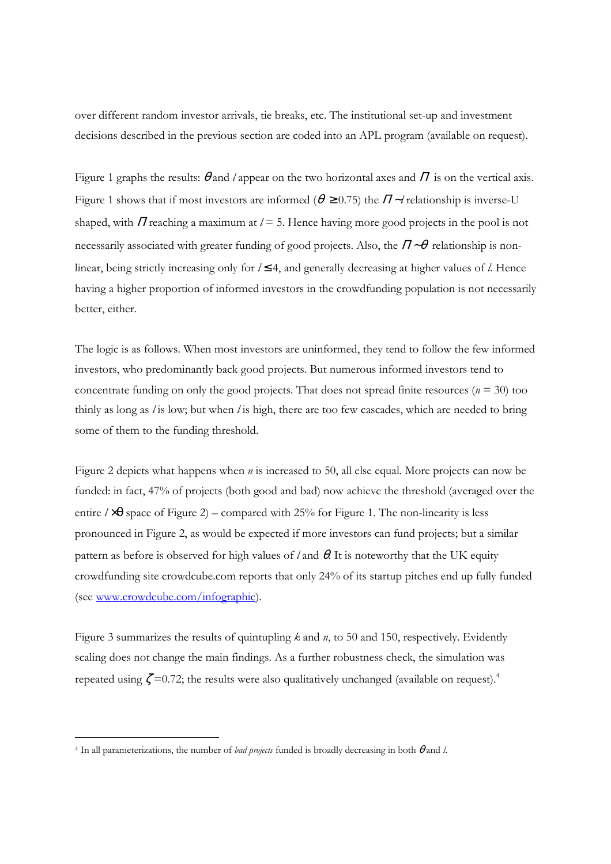over different random investor arrivals, tie breaks, etc. The institutional set-up and investment decisions described in the previous section are coded into an APL program (available on request).

Figure 1 graphs the results:  $\theta$  and *l* appear on the two horizontal axes and  $\Pi$  is on the vertical axis. Figure 1 shows that if most investors are informed ( $\theta \ge 0.75$ ) the  $\Pi \sim l$  relationship is inverse-U shaped, with  $\Pi$  reaching a maximum at  $l = 5$ . Hence having more good projects in the pool is not necessarily associated with greater funding of good projects. Also, the <sup>Π</sup> ∼<sup>θ</sup>relationship is nonlinear, being strictly increasing only for *l* ≤ 4, and generally decreasing at higher values of *l*. Hence having a higher proportion of informed investors in the crowdfunding population is not necessarily better, either.

The logic is as follows. When most investors are uninformed, they tend to follow the few informed investors, who predominantly back good projects. But numerous informed investors tend to concentrate funding on only the good projects. That does not spread finite resources ( $n = 30$ ) too thinly as long as *l* is low; but when *l* is high, there are too few cascades, which are needed to bring some of them to the funding threshold.

Figure 2 depicts what happens when *n* is increased to 50, all else equal. More projects can now be funded: in fact, 47% of projects (both good and bad) now achieve the threshold (averaged over the entire  $l \times \theta$  space of Figure 2) – compared with 25% for Figure 1. The non-linearity is less pronounced in Figure 2, as would be expected if more investors can fund projects; but a similar pattern as before is observed for high values of *l* and θ. It is noteworthy that the UK equity crowdfunding site crowdcube.com reports that only 24% of its startup pitches end up fully funded (see www.crowdcube.com/infographic).

Figure 3 summarizes the results of quintupling *k* and *n*, to 50 and 150, respectively. Evidently scaling does not change the main findings. As a further robustness check, the simulation was repeated using  $\zeta = 0.72$ ; the results were also qualitatively unchanged (available on request).<sup>4</sup>

l,

<sup>4</sup> In all parameterizations, the number of *bad projects* funded is broadly decreasing in both θ and *l*.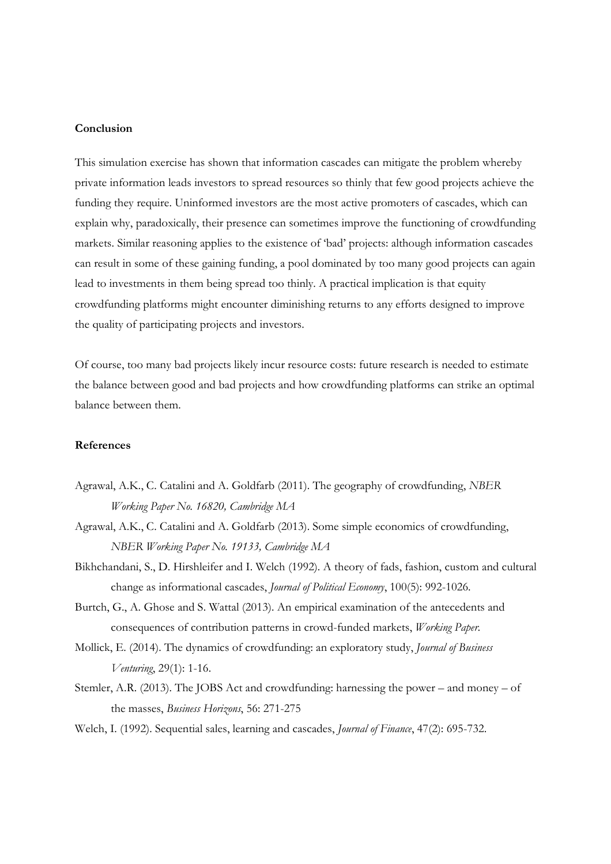### **Conclusion**

This simulation exercise has shown that information cascades can mitigate the problem whereby private information leads investors to spread resources so thinly that few good projects achieve the funding they require. Uninformed investors are the most active promoters of cascades, which can explain why, paradoxically, their presence can sometimes improve the functioning of crowdfunding markets. Similar reasoning applies to the existence of 'bad' projects: although information cascades can result in some of these gaining funding, a pool dominated by too many good projects can again lead to investments in them being spread too thinly. A practical implication is that equity crowdfunding platforms might encounter diminishing returns to any efforts designed to improve the quality of participating projects and investors.

Of course, too many bad projects likely incur resource costs: future research is needed to estimate the balance between good and bad projects and how crowdfunding platforms can strike an optimal balance between them.

#### **References**

- Agrawal, A.K., C. Catalini and A. Goldfarb (2011). The geography of crowdfunding, *NBER Working Paper No. 16820, Cambridge MA*
- Agrawal, A.K., C. Catalini and A. Goldfarb (2013). Some simple economics of crowdfunding, *NBER Working Paper No. 19133, Cambridge MA*
- Bikhchandani, S., D. Hirshleifer and I. Welch (1992). A theory of fads, fashion, custom and cultural change as informational cascades, *Journal of Political Economy*, 100(5): 992-1026.
- Burtch, G., A. Ghose and S. Wattal (2013). An empirical examination of the antecedents and consequences of contribution patterns in crowd-funded markets, *Working Paper.*
- Mollick, E. (2014). The dynamics of crowdfunding: an exploratory study, *Journal of Business Venturing*, 29(1): 1-16.
- Stemler, A.R. (2013). The JOBS Act and crowdfunding: harnessing the power and money of the masses, *Business Horizons*, 56: 271-275
- Welch, I. (1992). Sequential sales, learning and cascades, *Journal of Finance*, 47(2): 695-732.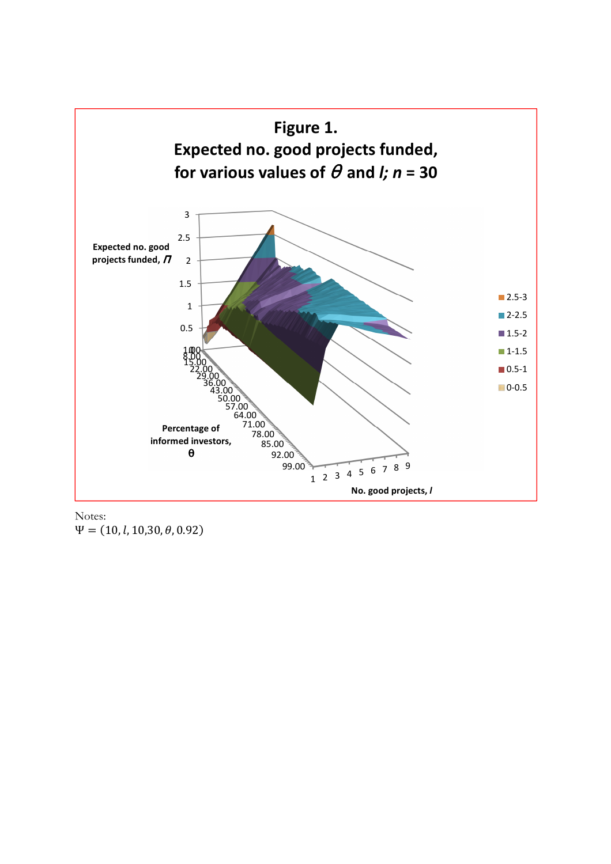

Notes:  $\Psi = (10, l, 10, 30, \theta, 0.92)$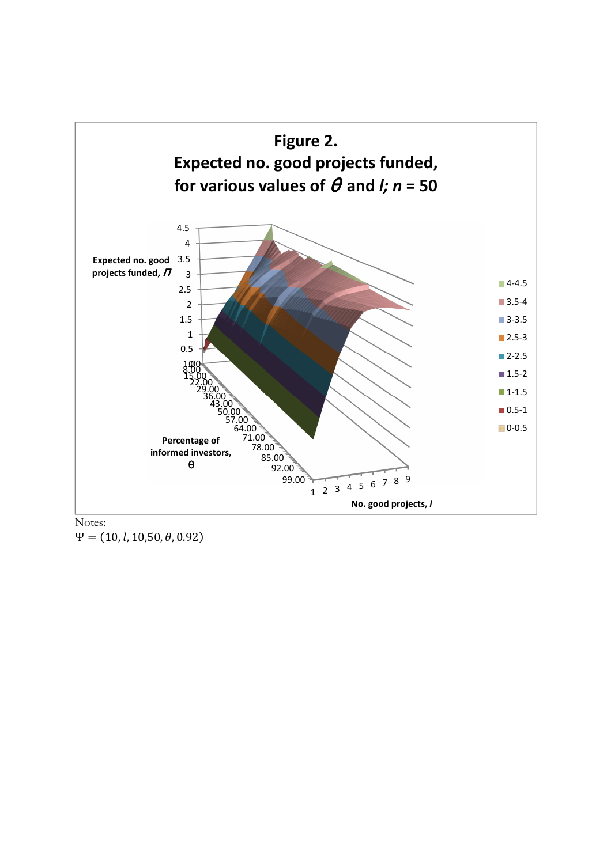

 $\Psi = (10, l, 10, 50, \theta, 0.92)$